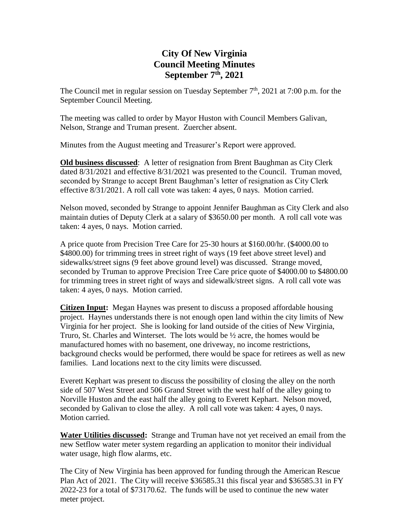## **City Of New Virginia Council Meeting Minutes September 7th , 2021**

The Council met in regular session on Tuesday September  $7<sup>th</sup>$ , 2021 at 7:00 p.m. for the September Council Meeting.

The meeting was called to order by Mayor Huston with Council Members Galivan, Nelson, Strange and Truman present. Zuercher absent.

Minutes from the August meeting and Treasurer's Report were approved.

**Old business discussed**: A letter of resignation from Brent Baughman as City Clerk dated 8/31/2021 and effective 8/31/2021 was presented to the Council. Truman moved, seconded by Strange to accept Brent Baughman's letter of resignation as City Clerk effective 8/31/2021. A roll call vote was taken: 4 ayes, 0 nays. Motion carried.

Nelson moved, seconded by Strange to appoint Jennifer Baughman as City Clerk and also maintain duties of Deputy Clerk at a salary of \$3650.00 per month. A roll call vote was taken: 4 ayes, 0 nays. Motion carried.

A price quote from Precision Tree Care for 25-30 hours at \$160.00/hr. (\$4000.00 to \$4800.00) for trimming trees in street right of ways (19 feet above street level) and sidewalks/street signs (9 feet above ground level) was discussed. Strange moved, seconded by Truman to approve Precision Tree Care price quote of \$4000.00 to \$4800.00 for trimming trees in street right of ways and sidewalk/street signs. A roll call vote was taken: 4 ayes, 0 nays. Motion carried.

**Citizen Input:** Megan Haynes was present to discuss a proposed affordable housing project. Haynes understands there is not enough open land within the city limits of New Virginia for her project. She is looking for land outside of the cities of New Virginia, Truro, St. Charles and Winterset. The lots would be  $\frac{1}{2}$  acre, the homes would be manufactured homes with no basement, one driveway, no income restrictions, background checks would be performed, there would be space for retirees as well as new families. Land locations next to the city limits were discussed.

Everett Kephart was present to discuss the possibility of closing the alley on the north side of 507 West Street and 506 Grand Street with the west half of the alley going to Norville Huston and the east half the alley going to Everett Kephart. Nelson moved, seconded by Galivan to close the alley. A roll call vote was taken: 4 ayes, 0 nays. Motion carried.

**Water Utilities discussed:** Strange and Truman have not yet received an email from the new Setflow water meter system regarding an application to monitor their individual water usage, high flow alarms, etc.

The City of New Virginia has been approved for funding through the American Rescue Plan Act of 2021. The City will receive \$36585.31 this fiscal year and \$36585.31 in FY 2022-23 for a total of \$73170.62. The funds will be used to continue the new water meter project.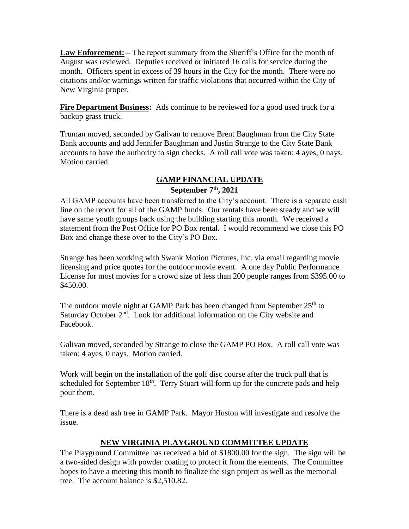**Law Enforcement: –** The report summary from the Sheriff's Office for the month of August was reviewed. Deputies received or initiated 16 calls for service during the month. Officers spent in excess of 39 hours in the City for the month. There were no citations and/or warnings written for traffic violations that occurred within the City of New Virginia proper.

**Fire Department Business:** Ads continue to be reviewed for a good used truck for a backup grass truck.

Truman moved, seconded by Galivan to remove Brent Baughman from the City State Bank accounts and add Jennifer Baughman and Justin Strange to the City State Bank accounts to have the authority to sign checks. A roll call vote was taken: 4 ayes, 0 nays. Motion carried.

## **GAMP FINANCIAL UPDATE September 7th , 2021**

All GAMP accounts have been transferred to the City's account. There is a separate cash line on the report for all of the GAMP funds. Our rentals have been steady and we will have same youth groups back using the building starting this month. We received a statement from the Post Office for PO Box rental. I would recommend we close this PO Box and change these over to the City's PO Box.

Strange has been working with Swank Motion Pictures, Inc. via email regarding movie licensing and price quotes for the outdoor movie event. A one day Public Performance License for most movies for a crowd size of less than 200 people ranges from \$395.00 to \$450.00.

The outdoor movie night at GAMP Park has been changed from September 25<sup>th</sup> to Saturday October 2<sup>nd</sup>. Look for additional information on the City website and Facebook.

Galivan moved, seconded by Strange to close the GAMP PO Box. A roll call vote was taken: 4 ayes, 0 nays. Motion carried.

Work will begin on the installation of the golf disc course after the truck pull that is scheduled for September 18<sup>th</sup>. Terry Stuart will form up for the concrete pads and help pour them.

There is a dead ash tree in GAMP Park. Mayor Huston will investigate and resolve the issue.

## **NEW VIRGINIA PLAYGROUND COMMITTEE UPDATE**

The Playground Committee has received a bid of \$1800.00 for the sign. The sign will be a two-sided design with powder coating to protect it from the elements. The Committee hopes to have a meeting this month to finalize the sign project as well as the memorial tree. The account balance is \$2,510.82.